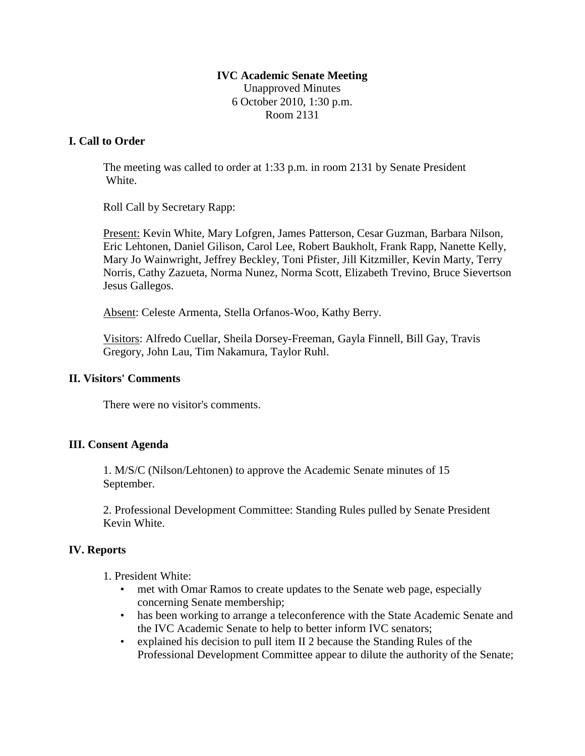## **IVC Academic Senate Meeting** Unapproved Minutes 6 October 2010, 1:30 p.m. Room 2131

### **I. Call to Order**

The meeting was called to order at 1:33 p.m. in room 2131 by Senate President White.

Roll Call by Secretary Rapp:

Present: Kevin White, Mary Lofgren, James Patterson, Cesar Guzman, Barbara Nilson, Eric Lehtonen, Daniel Gilison, Carol Lee, Robert Baukholt, Frank Rapp, Nanette Kelly, Mary Jo Wainwright, Jeffrey Beckley, Toni Pfister, Jill Kitzmiller, Kevin Marty, Terry Norris, Cathy Zazueta, Norma Nunez, Norma Scott, Elizabeth Trevino, Bruce Sievertson Jesus Gallegos.

Absent: Celeste Armenta, Stella Orfanos-Woo, Kathy Berry.

Visitors: Alfredo Cuellar, Sheila Dorsey-Freeman, Gayla Finnell, Bill Gay, Travis Gregory, John Lau, Tim Nakamura, Taylor Ruhl.

#### **II. Visitors' Comments**

There were no visitor's comments.

# **III. Consent Agenda**

1. M/S/C (Nilson/Lehtonen) to approve the Academic Senate minutes of 15 September.

2. Professional Development Committee: Standing Rules pulled by Senate President Kevin White.

#### **IV. Reports**

1. President White:

- met with Omar Ramos to create updates to the Senate web page, especially concerning Senate membership;
- has been working to arrange a teleconference with the State Academic Senate and the IVC Academic Senate to help to better inform IVC senators;
- explained his decision to pull item II 2 because the Standing Rules of the Professional Development Committee appear to dilute the authority of the Senate;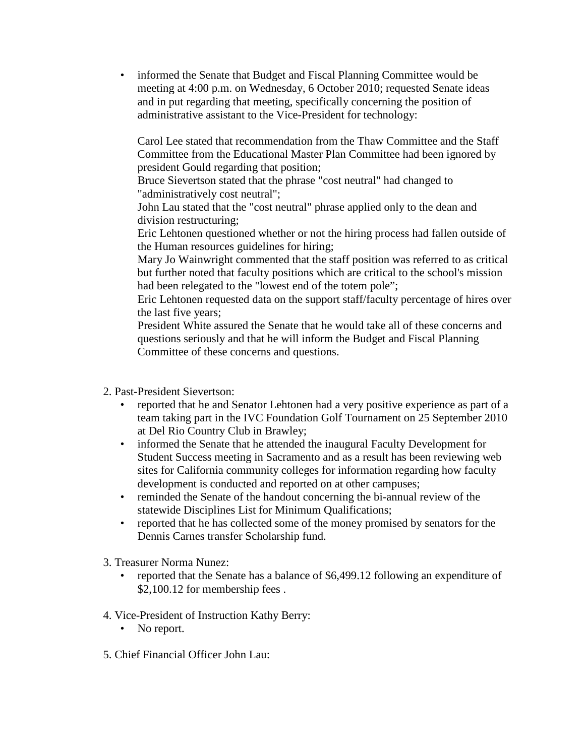• informed the Senate that Budget and Fiscal Planning Committee would be meeting at 4:00 p.m. on Wednesday, 6 October 2010; requested Senate ideas and in put regarding that meeting, specifically concerning the position of administrative assistant to the Vice-President for technology:

Carol Lee stated that recommendation from the Thaw Committee and the Staff Committee from the Educational Master Plan Committee had been ignored by president Gould regarding that position;

Bruce Sievertson stated that the phrase "cost neutral" had changed to "administratively cost neutral";

John Lau stated that the "cost neutral" phrase applied only to the dean and division restructuring;

Eric Lehtonen questioned whether or not the hiring process had fallen outside of the Human resources guidelines for hiring;

Mary Jo Wainwright commented that the staff position was referred to as critical but further noted that faculty positions which are critical to the school's mission had been relegated to the "lowest end of the totem pole";

Eric Lehtonen requested data on the support staff/faculty percentage of hires over the last five years;

President White assured the Senate that he would take all of these concerns and questions seriously and that he will inform the Budget and Fiscal Planning Committee of these concerns and questions.

2. Past-President Sievertson:

- reported that he and Senator Lehtonen had a very positive experience as part of a team taking part in the IVC Foundation Golf Tournament on 25 September 2010 at Del Rio Country Club in Brawley;
- informed the Senate that he attended the inaugural Faculty Development for Student Success meeting in Sacramento and as a result has been reviewing web sites for California community colleges for information regarding how faculty development is conducted and reported on at other campuses;
- reminded the Senate of the handout concerning the bi-annual review of the statewide Disciplines List for Minimum Qualifications;
- reported that he has collected some of the money promised by senators for the Dennis Carnes transfer Scholarship fund.
- 3. Treasurer Norma Nunez:
	- reported that the Senate has a balance of \$6,499.12 following an expenditure of \$2,100.12 for membership fees.
- 4. Vice-President of Instruction Kathy Berry:
	- No report.
- 5. Chief Financial Officer John Lau: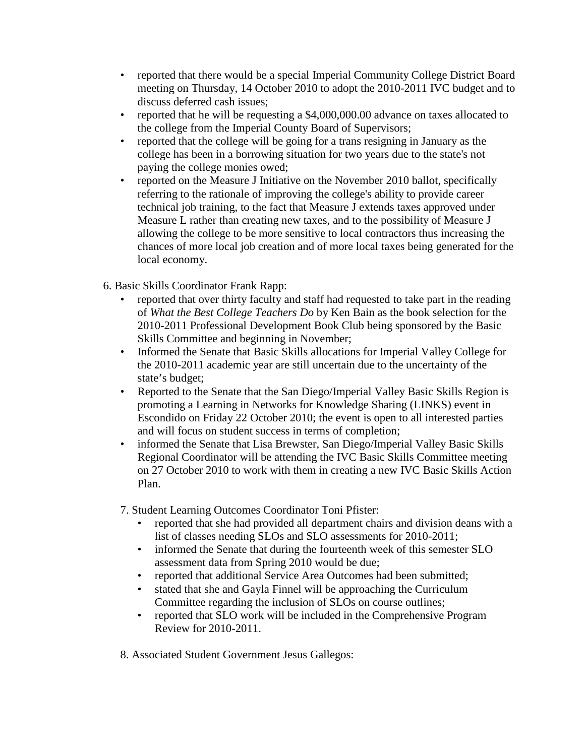- reported that there would be a special Imperial Community College District Board meeting on Thursday, 14 October 2010 to adopt the 2010-2011 IVC budget and to discuss deferred cash issues;
- reported that he will be requesting a \$4,000,000.00 advance on taxes allocated to the college from the Imperial County Board of Supervisors;
- reported that the college will be going for a trans resigning in January as the college has been in a borrowing situation for two years due to the state's not paying the college monies owed;
- reported on the Measure J Initiative on the November 2010 ballot, specifically referring to the rationale of improving the college's ability to provide career technical job training, to the fact that Measure J extends taxes approved under Measure L rather than creating new taxes, and to the possibility of Measure J allowing the college to be more sensitive to local contractors thus increasing the chances of more local job creation and of more local taxes being generated for the local economy.
- 6. Basic Skills Coordinator Frank Rapp:
	- reported that over thirty faculty and staff had requested to take part in the reading of *What the Best College Teachers Do* by Ken Bain as the book selection for the 2010-2011 Professional Development Book Club being sponsored by the Basic Skills Committee and beginning in November;
	- Informed the Senate that Basic Skills allocations for Imperial Valley College for the 2010-2011 academic year are still uncertain due to the uncertainty of the state's budget;
	- Reported to the Senate that the San Diego/Imperial Valley Basic Skills Region is promoting a Learning in Networks for Knowledge Sharing (LINKS) event in Escondido on Friday 22 October 2010; the event is open to all interested parties and will focus on student success in terms of completion;
	- informed the Senate that Lisa Brewster, San Diego/Imperial Valley Basic Skills Regional Coordinator will be attending the IVC Basic Skills Committee meeting on 27 October 2010 to work with them in creating a new IVC Basic Skills Action Plan.

7. Student Learning Outcomes Coordinator Toni Pfister:

- reported that she had provided all department chairs and division deans with a list of classes needing SLOs and SLO assessments for 2010-2011;
- informed the Senate that during the fourteenth week of this semester SLO assessment data from Spring 2010 would be due;
- reported that additional Service Area Outcomes had been submitted;
- stated that she and Gayla Finnel will be approaching the Curriculum Committee regarding the inclusion of SLOs on course outlines;
- reported that SLO work will be included in the Comprehensive Program Review for 2010-2011.

8. Associated Student Government Jesus Gallegos: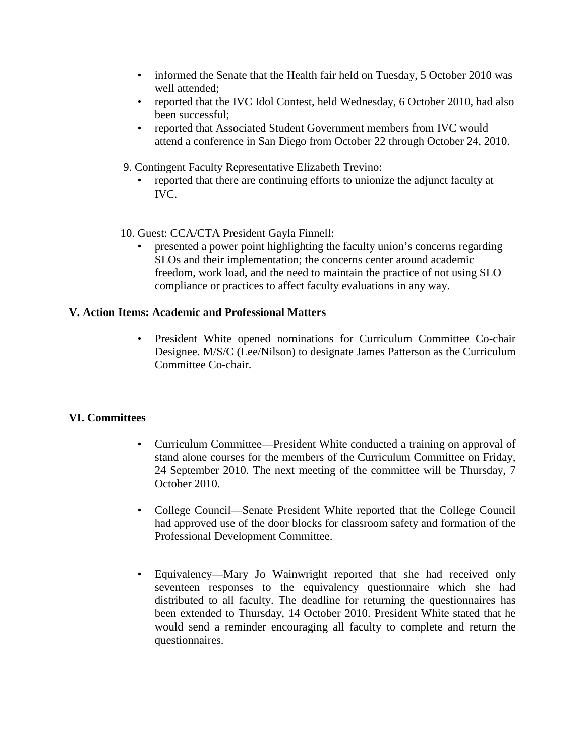- informed the Senate that the Health fair held on Tuesday, 5 October 2010 was well attended;
- reported that the IVC Idol Contest, held Wednesday, 6 October 2010, had also been successful;
- reported that Associated Student Government members from IVC would attend a conference in San Diego from October 22 through October 24, 2010.
- 9. Contingent Faculty Representative Elizabeth Trevino:
	- reported that there are continuing efforts to unionize the adjunct faculty at IVC.
- 10. Guest: CCA/CTA President Gayla Finnell:
	- presented a power point highlighting the faculty union's concerns regarding SLOs and their implementation; the concerns center around academic freedom, work load, and the need to maintain the practice of not using SLO compliance or practices to affect faculty evaluations in any way.

#### **V. Action Items: Academic and Professional Matters**

• President White opened nominations for Curriculum Committee Co-chair Designee. M/S/C (Lee/Nilson) to designate James Patterson as the Curriculum Committee Co-chair.

#### **VI. Committees**

- Curriculum Committee—President White conducted a training on approval of stand alone courses for the members of the Curriculum Committee on Friday, 24 September 2010. The next meeting of the committee will be Thursday, 7 October 2010.
- College Council—Senate President White reported that the College Council had approved use of the door blocks for classroom safety and formation of the Professional Development Committee.
- Equivalency—Mary Jo Wainwright reported that she had received only seventeen responses to the equivalency questionnaire which she had distributed to all faculty. The deadline for returning the questionnaires has been extended to Thursday, 14 October 2010. President White stated that he would send a reminder encouraging all faculty to complete and return the questionnaires.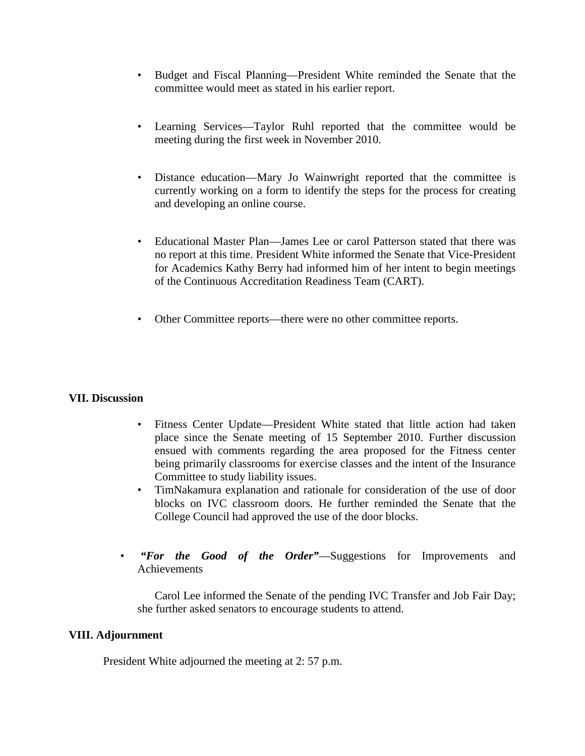- Budget and Fiscal Planning—President White reminded the Senate that the committee would meet as stated in his earlier report.
- Learning Services—Taylor Ruhl reported that the committee would be meeting during the first week in November 2010.
- Distance education—Mary Jo Wainwright reported that the committee is currently working on a form to identify the steps for the process for creating and developing an online course.
- Educational Master Plan—James Lee or carol Patterson stated that there was no report at this time. President White informed the Senate that Vice-President for Academics Kathy Berry had informed him of her intent to begin meetings of the Continuous Accreditation Readiness Team (CART).
- Other Committee reports—there were no other committee reports.

#### **VII. Discussion**

- Fitness Center Update—President White stated that little action had taken place since the Senate meeting of 15 September 2010. Further discussion ensued with comments regarding the area proposed for the Fitness center being primarily classrooms for exercise classes and the intent of the Insurance Committee to study liability issues.
- TimNakamura explanation and rationale for consideration of the use of door blocks on IVC classroom doors. He further reminded the Senate that the College Council had approved the use of the door blocks.
- *"For the Good of the Order"*—Suggestions for Improvements and Achievements

 Carol Lee informed the Senate of the pending IVC Transfer and Job Fair Day; she further asked senators to encourage students to attend.

#### **VIII. Adjournment**

President White adjourned the meeting at 2: 57 p.m.